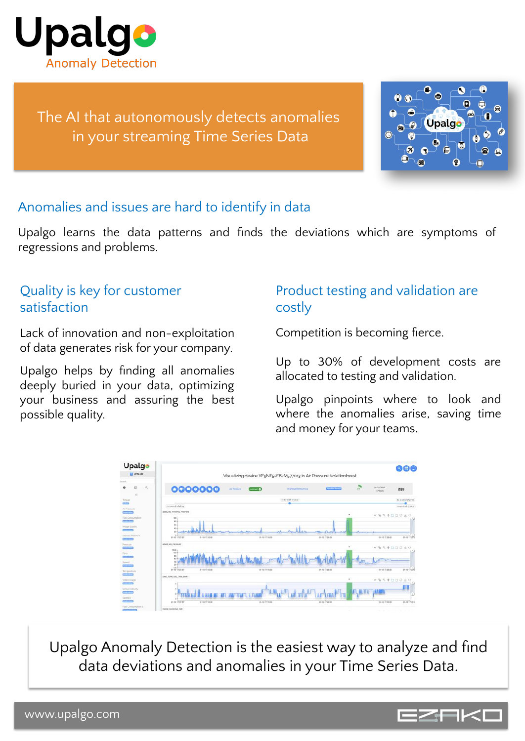

The AI that autonomously detects anomalies in your streaming Time Series Data

| 8.<br>G<br>G<br>≔<br>palg<br>Ō<br><b>P</b><br>м |
|-------------------------------------------------|
| 65<br>n<br>н<br>佃<br>©<br>僳                     |

#### Anomalies and issues are hard to identify in data

Upalgo learns the data patterns and finds the deviations which are symptoms of regressions and problems.

## Quality is key for customer satisfaction

Lack of innovation and non-exploitation of data generates risk for your company.

Upalgo helps by finding all anomalies deeply buried in your data, optimizing your business and assuring the best possible quality.

### Product testing and validation are costly

Competition is becoming fierce.

Up to 30% of development costs are allocated to testing and validation.

Upalgo pinpoints where to look and where the anomalies arise, saving time and money for your teams.



Upalgo Anomaly Detection is the easiest way to analyze and find data deviations and anomalies in your Time Series Data.